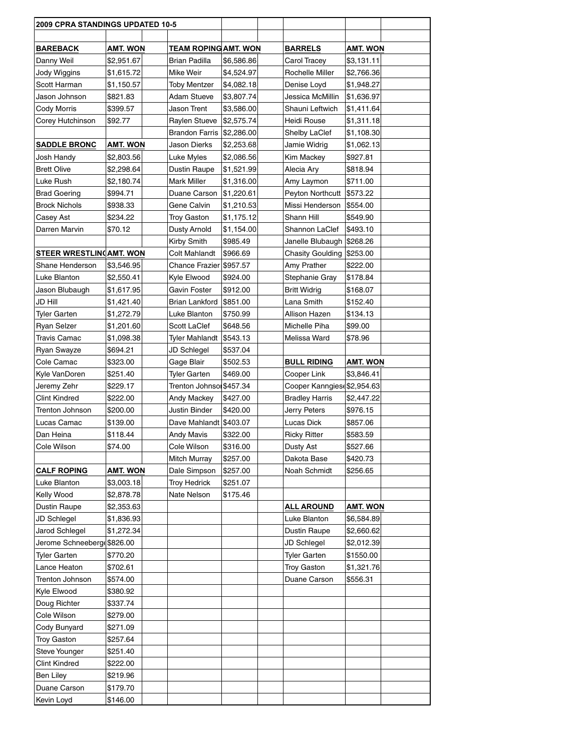| <b>AMT. WON</b><br><b>TEAM ROPING AMT. WON</b><br><b>BARRELS</b><br>BAREBACK<br>AMT. WON<br>Danny Weil<br>\$2,951.67<br>Brian Padilla<br>\$6,586.86<br>Carol Tracey<br>\$3,131.11<br>Rochelle Miller<br>Jody Wiggins<br>\$1,615.72<br>Mike Weir<br>\$4,524.97<br>\$2,766.36<br>Scott Harman<br>\$1,150.57<br><b>Toby Mentzer</b><br>\$4,082.18<br>Denise Loyd<br>\$1,948.27<br>Jason Johnson<br>\$821.83<br><b>Adam Stueve</b><br>\$3,807.74<br>Jessica McMillin<br>\$1,636.97<br>Cody Morris<br>\$399.57<br>Jason Trent<br>Shauni Leftwich<br>\$3,586.00<br>\$1,411.64<br>Corey Hutchinson<br>\$92.77<br>Raylen Stueve<br>\$2,575.74<br>Heidi Rouse<br>\$1,311.18<br>Brandon Farris<br>\$2,286.00<br>Shelby LaClef<br>\$1,108.30<br><b>SADDLE BRONC</b><br>Jason Dierks<br>AMT. WON<br>\$2,253.68<br>Jamie Widrig<br>\$1,062.13<br>\$927.81<br>\$2,803.56<br>Luke Myles<br>\$2,086.56<br>Kim Mackey<br>Josh Handy<br><b>Brett Olive</b><br>\$2,298.64<br>Dustin Raupe<br>\$1,521.99<br>Alecia Ary<br>\$818.94<br>Luke Rush<br>\$2,180.74<br>Mark Miller<br>\$1,316.00 <br>Amy Laymon<br>\$711.00<br>\$1,220.61<br><b>Brad Goering</b><br>\$994.71<br>Duane Carson<br>Peyton Northcutt<br>\$573.22<br>Brock Nichols<br>\$938.33<br>Gene Calvin<br>\$1,210.53<br>Missi Henderson<br>\$554.00<br>Shann Hill<br>Casey Ast<br>\$234.22<br>Troy Gaston<br>\$1,175.12<br>\$549.90<br>\$70.12<br>Shannon LaClef<br>Darren Marvin<br>Dusty Arnold<br>\$1,154.00<br>\$493.10<br>\$985.49<br>Janelle Blubaugh<br>Kirby Smith<br>\$268.26<br>STEER WRESTLIN AMT. WON<br>Colt Mahlandt<br>\$966.69<br><b>Chasity Goulding</b><br>\$253.00<br>Shane Henderson<br>\$3,546.95<br>Chance Frazier \$957.57<br>Amy Prather<br>\$222.00<br>Luke Blanton<br>\$2,550.41<br>Kyle Elwood<br>\$924.00<br>Stephanie Gray<br>\$178.84<br>Jason Blubaugh<br>Gavin Foster<br>\$912.00<br><b>Britt Widrig</b><br>\$168.07<br>\$1,617.95<br>JD Hill<br>\$1,421.40<br>Brian Lankford<br>\$851.00<br>Lana Smith<br>\$152.40<br>Tyler Garten<br>Luke Blanton<br>\$750.99<br>Allison Hazen<br>\$1,272.79<br>\$134.13<br>Ryan Selzer<br>\$1,201.60<br>Scott LaClef<br>\$648.56<br>Michelle Piha<br>\$99.00<br>Travis Camac<br>\$1,098.38<br>Tyler Mahlandt<br>\$543.13<br>Melissa Ward<br>\$78.96<br>\$694.21<br>\$537.04<br>Ryan Swayze<br>JD Schlegel<br>\$323.00<br><b>BULL RIDING</b><br>Cole Camac<br>Gage Blair<br>\$502.53<br><b>AMT. WON</b><br>\$469.00<br>Kyle VanDoren<br>\$251.40<br>Tyler Garten<br>Cooper Link<br>\$3,846.41<br>Trenton Johnsol \$457.34<br>Cooper Kanngies \$2,954.63<br>Jeremy Zehr<br>\$229.17<br>Clint Kindred<br>\$222.00<br>\$427.00<br><b>Bradley Harris</b><br>Andy Mackey<br>\$2,447.22<br>Jerry Peters<br>Trenton Johnson<br>\$200.00<br>Justin Binder<br>\$420.00<br>\$976.15<br>Dave Mahlandt<br>Lucas Dick<br>Lucas Camac<br>\$139.00<br>\$403.07<br>\$857.06<br>Dan Heina<br>\$118.44<br><b>Andy Mavis</b><br>\$322.00<br><b>Ricky Ritter</b><br>\$583.59<br>Cole Wilson<br>\$316.00<br>Cole Wilson<br>Dusty Ast<br>\$74.00<br>\$527.66 | 2009 CPRA STANDINGS UPDATED 10-5 |  |  |  |  |
|--------------------------------------------------------------------------------------------------------------------------------------------------------------------------------------------------------------------------------------------------------------------------------------------------------------------------------------------------------------------------------------------------------------------------------------------------------------------------------------------------------------------------------------------------------------------------------------------------------------------------------------------------------------------------------------------------------------------------------------------------------------------------------------------------------------------------------------------------------------------------------------------------------------------------------------------------------------------------------------------------------------------------------------------------------------------------------------------------------------------------------------------------------------------------------------------------------------------------------------------------------------------------------------------------------------------------------------------------------------------------------------------------------------------------------------------------------------------------------------------------------------------------------------------------------------------------------------------------------------------------------------------------------------------------------------------------------------------------------------------------------------------------------------------------------------------------------------------------------------------------------------------------------------------------------------------------------------------------------------------------------------------------------------------------------------------------------------------------------------------------------------------------------------------------------------------------------------------------------------------------------------------------------------------------------------------------------------------------------------------------------------------------------------------------------------------------------------------------------------------------------------------------------------------------------------------------------------------------------------------------------------------------------------------------------------------------------------------------------------------------------------------------------------------------------------------------------------------------------------------------------------------------------------------------------------------------------------------------------------------------------------------------------------------------|----------------------------------|--|--|--|--|
|                                                                                                                                                                                                                                                                                                                                                                                                                                                                                                                                                                                                                                                                                                                                                                                                                                                                                                                                                                                                                                                                                                                                                                                                                                                                                                                                                                                                                                                                                                                                                                                                                                                                                                                                                                                                                                                                                                                                                                                                                                                                                                                                                                                                                                                                                                                                                                                                                                                                                                                                                                                                                                                                                                                                                                                                                                                                                                                                                                                                                                                  |                                  |  |  |  |  |
|                                                                                                                                                                                                                                                                                                                                                                                                                                                                                                                                                                                                                                                                                                                                                                                                                                                                                                                                                                                                                                                                                                                                                                                                                                                                                                                                                                                                                                                                                                                                                                                                                                                                                                                                                                                                                                                                                                                                                                                                                                                                                                                                                                                                                                                                                                                                                                                                                                                                                                                                                                                                                                                                                                                                                                                                                                                                                                                                                                                                                                                  |                                  |  |  |  |  |
|                                                                                                                                                                                                                                                                                                                                                                                                                                                                                                                                                                                                                                                                                                                                                                                                                                                                                                                                                                                                                                                                                                                                                                                                                                                                                                                                                                                                                                                                                                                                                                                                                                                                                                                                                                                                                                                                                                                                                                                                                                                                                                                                                                                                                                                                                                                                                                                                                                                                                                                                                                                                                                                                                                                                                                                                                                                                                                                                                                                                                                                  |                                  |  |  |  |  |
|                                                                                                                                                                                                                                                                                                                                                                                                                                                                                                                                                                                                                                                                                                                                                                                                                                                                                                                                                                                                                                                                                                                                                                                                                                                                                                                                                                                                                                                                                                                                                                                                                                                                                                                                                                                                                                                                                                                                                                                                                                                                                                                                                                                                                                                                                                                                                                                                                                                                                                                                                                                                                                                                                                                                                                                                                                                                                                                                                                                                                                                  |                                  |  |  |  |  |
|                                                                                                                                                                                                                                                                                                                                                                                                                                                                                                                                                                                                                                                                                                                                                                                                                                                                                                                                                                                                                                                                                                                                                                                                                                                                                                                                                                                                                                                                                                                                                                                                                                                                                                                                                                                                                                                                                                                                                                                                                                                                                                                                                                                                                                                                                                                                                                                                                                                                                                                                                                                                                                                                                                                                                                                                                                                                                                                                                                                                                                                  |                                  |  |  |  |  |
|                                                                                                                                                                                                                                                                                                                                                                                                                                                                                                                                                                                                                                                                                                                                                                                                                                                                                                                                                                                                                                                                                                                                                                                                                                                                                                                                                                                                                                                                                                                                                                                                                                                                                                                                                                                                                                                                                                                                                                                                                                                                                                                                                                                                                                                                                                                                                                                                                                                                                                                                                                                                                                                                                                                                                                                                                                                                                                                                                                                                                                                  |                                  |  |  |  |  |
|                                                                                                                                                                                                                                                                                                                                                                                                                                                                                                                                                                                                                                                                                                                                                                                                                                                                                                                                                                                                                                                                                                                                                                                                                                                                                                                                                                                                                                                                                                                                                                                                                                                                                                                                                                                                                                                                                                                                                                                                                                                                                                                                                                                                                                                                                                                                                                                                                                                                                                                                                                                                                                                                                                                                                                                                                                                                                                                                                                                                                                                  |                                  |  |  |  |  |
|                                                                                                                                                                                                                                                                                                                                                                                                                                                                                                                                                                                                                                                                                                                                                                                                                                                                                                                                                                                                                                                                                                                                                                                                                                                                                                                                                                                                                                                                                                                                                                                                                                                                                                                                                                                                                                                                                                                                                                                                                                                                                                                                                                                                                                                                                                                                                                                                                                                                                                                                                                                                                                                                                                                                                                                                                                                                                                                                                                                                                                                  |                                  |  |  |  |  |
|                                                                                                                                                                                                                                                                                                                                                                                                                                                                                                                                                                                                                                                                                                                                                                                                                                                                                                                                                                                                                                                                                                                                                                                                                                                                                                                                                                                                                                                                                                                                                                                                                                                                                                                                                                                                                                                                                                                                                                                                                                                                                                                                                                                                                                                                                                                                                                                                                                                                                                                                                                                                                                                                                                                                                                                                                                                                                                                                                                                                                                                  |                                  |  |  |  |  |
|                                                                                                                                                                                                                                                                                                                                                                                                                                                                                                                                                                                                                                                                                                                                                                                                                                                                                                                                                                                                                                                                                                                                                                                                                                                                                                                                                                                                                                                                                                                                                                                                                                                                                                                                                                                                                                                                                                                                                                                                                                                                                                                                                                                                                                                                                                                                                                                                                                                                                                                                                                                                                                                                                                                                                                                                                                                                                                                                                                                                                                                  |                                  |  |  |  |  |
|                                                                                                                                                                                                                                                                                                                                                                                                                                                                                                                                                                                                                                                                                                                                                                                                                                                                                                                                                                                                                                                                                                                                                                                                                                                                                                                                                                                                                                                                                                                                                                                                                                                                                                                                                                                                                                                                                                                                                                                                                                                                                                                                                                                                                                                                                                                                                                                                                                                                                                                                                                                                                                                                                                                                                                                                                                                                                                                                                                                                                                                  |                                  |  |  |  |  |
|                                                                                                                                                                                                                                                                                                                                                                                                                                                                                                                                                                                                                                                                                                                                                                                                                                                                                                                                                                                                                                                                                                                                                                                                                                                                                                                                                                                                                                                                                                                                                                                                                                                                                                                                                                                                                                                                                                                                                                                                                                                                                                                                                                                                                                                                                                                                                                                                                                                                                                                                                                                                                                                                                                                                                                                                                                                                                                                                                                                                                                                  |                                  |  |  |  |  |
|                                                                                                                                                                                                                                                                                                                                                                                                                                                                                                                                                                                                                                                                                                                                                                                                                                                                                                                                                                                                                                                                                                                                                                                                                                                                                                                                                                                                                                                                                                                                                                                                                                                                                                                                                                                                                                                                                                                                                                                                                                                                                                                                                                                                                                                                                                                                                                                                                                                                                                                                                                                                                                                                                                                                                                                                                                                                                                                                                                                                                                                  |                                  |  |  |  |  |
|                                                                                                                                                                                                                                                                                                                                                                                                                                                                                                                                                                                                                                                                                                                                                                                                                                                                                                                                                                                                                                                                                                                                                                                                                                                                                                                                                                                                                                                                                                                                                                                                                                                                                                                                                                                                                                                                                                                                                                                                                                                                                                                                                                                                                                                                                                                                                                                                                                                                                                                                                                                                                                                                                                                                                                                                                                                                                                                                                                                                                                                  |                                  |  |  |  |  |
|                                                                                                                                                                                                                                                                                                                                                                                                                                                                                                                                                                                                                                                                                                                                                                                                                                                                                                                                                                                                                                                                                                                                                                                                                                                                                                                                                                                                                                                                                                                                                                                                                                                                                                                                                                                                                                                                                                                                                                                                                                                                                                                                                                                                                                                                                                                                                                                                                                                                                                                                                                                                                                                                                                                                                                                                                                                                                                                                                                                                                                                  |                                  |  |  |  |  |
|                                                                                                                                                                                                                                                                                                                                                                                                                                                                                                                                                                                                                                                                                                                                                                                                                                                                                                                                                                                                                                                                                                                                                                                                                                                                                                                                                                                                                                                                                                                                                                                                                                                                                                                                                                                                                                                                                                                                                                                                                                                                                                                                                                                                                                                                                                                                                                                                                                                                                                                                                                                                                                                                                                                                                                                                                                                                                                                                                                                                                                                  |                                  |  |  |  |  |
|                                                                                                                                                                                                                                                                                                                                                                                                                                                                                                                                                                                                                                                                                                                                                                                                                                                                                                                                                                                                                                                                                                                                                                                                                                                                                                                                                                                                                                                                                                                                                                                                                                                                                                                                                                                                                                                                                                                                                                                                                                                                                                                                                                                                                                                                                                                                                                                                                                                                                                                                                                                                                                                                                                                                                                                                                                                                                                                                                                                                                                                  |                                  |  |  |  |  |
|                                                                                                                                                                                                                                                                                                                                                                                                                                                                                                                                                                                                                                                                                                                                                                                                                                                                                                                                                                                                                                                                                                                                                                                                                                                                                                                                                                                                                                                                                                                                                                                                                                                                                                                                                                                                                                                                                                                                                                                                                                                                                                                                                                                                                                                                                                                                                                                                                                                                                                                                                                                                                                                                                                                                                                                                                                                                                                                                                                                                                                                  |                                  |  |  |  |  |
|                                                                                                                                                                                                                                                                                                                                                                                                                                                                                                                                                                                                                                                                                                                                                                                                                                                                                                                                                                                                                                                                                                                                                                                                                                                                                                                                                                                                                                                                                                                                                                                                                                                                                                                                                                                                                                                                                                                                                                                                                                                                                                                                                                                                                                                                                                                                                                                                                                                                                                                                                                                                                                                                                                                                                                                                                                                                                                                                                                                                                                                  |                                  |  |  |  |  |
|                                                                                                                                                                                                                                                                                                                                                                                                                                                                                                                                                                                                                                                                                                                                                                                                                                                                                                                                                                                                                                                                                                                                                                                                                                                                                                                                                                                                                                                                                                                                                                                                                                                                                                                                                                                                                                                                                                                                                                                                                                                                                                                                                                                                                                                                                                                                                                                                                                                                                                                                                                                                                                                                                                                                                                                                                                                                                                                                                                                                                                                  |                                  |  |  |  |  |
|                                                                                                                                                                                                                                                                                                                                                                                                                                                                                                                                                                                                                                                                                                                                                                                                                                                                                                                                                                                                                                                                                                                                                                                                                                                                                                                                                                                                                                                                                                                                                                                                                                                                                                                                                                                                                                                                                                                                                                                                                                                                                                                                                                                                                                                                                                                                                                                                                                                                                                                                                                                                                                                                                                                                                                                                                                                                                                                                                                                                                                                  |                                  |  |  |  |  |
|                                                                                                                                                                                                                                                                                                                                                                                                                                                                                                                                                                                                                                                                                                                                                                                                                                                                                                                                                                                                                                                                                                                                                                                                                                                                                                                                                                                                                                                                                                                                                                                                                                                                                                                                                                                                                                                                                                                                                                                                                                                                                                                                                                                                                                                                                                                                                                                                                                                                                                                                                                                                                                                                                                                                                                                                                                                                                                                                                                                                                                                  |                                  |  |  |  |  |
|                                                                                                                                                                                                                                                                                                                                                                                                                                                                                                                                                                                                                                                                                                                                                                                                                                                                                                                                                                                                                                                                                                                                                                                                                                                                                                                                                                                                                                                                                                                                                                                                                                                                                                                                                                                                                                                                                                                                                                                                                                                                                                                                                                                                                                                                                                                                                                                                                                                                                                                                                                                                                                                                                                                                                                                                                                                                                                                                                                                                                                                  |                                  |  |  |  |  |
|                                                                                                                                                                                                                                                                                                                                                                                                                                                                                                                                                                                                                                                                                                                                                                                                                                                                                                                                                                                                                                                                                                                                                                                                                                                                                                                                                                                                                                                                                                                                                                                                                                                                                                                                                                                                                                                                                                                                                                                                                                                                                                                                                                                                                                                                                                                                                                                                                                                                                                                                                                                                                                                                                                                                                                                                                                                                                                                                                                                                                                                  |                                  |  |  |  |  |
|                                                                                                                                                                                                                                                                                                                                                                                                                                                                                                                                                                                                                                                                                                                                                                                                                                                                                                                                                                                                                                                                                                                                                                                                                                                                                                                                                                                                                                                                                                                                                                                                                                                                                                                                                                                                                                                                                                                                                                                                                                                                                                                                                                                                                                                                                                                                                                                                                                                                                                                                                                                                                                                                                                                                                                                                                                                                                                                                                                                                                                                  |                                  |  |  |  |  |
|                                                                                                                                                                                                                                                                                                                                                                                                                                                                                                                                                                                                                                                                                                                                                                                                                                                                                                                                                                                                                                                                                                                                                                                                                                                                                                                                                                                                                                                                                                                                                                                                                                                                                                                                                                                                                                                                                                                                                                                                                                                                                                                                                                                                                                                                                                                                                                                                                                                                                                                                                                                                                                                                                                                                                                                                                                                                                                                                                                                                                                                  |                                  |  |  |  |  |
|                                                                                                                                                                                                                                                                                                                                                                                                                                                                                                                                                                                                                                                                                                                                                                                                                                                                                                                                                                                                                                                                                                                                                                                                                                                                                                                                                                                                                                                                                                                                                                                                                                                                                                                                                                                                                                                                                                                                                                                                                                                                                                                                                                                                                                                                                                                                                                                                                                                                                                                                                                                                                                                                                                                                                                                                                                                                                                                                                                                                                                                  |                                  |  |  |  |  |
|                                                                                                                                                                                                                                                                                                                                                                                                                                                                                                                                                                                                                                                                                                                                                                                                                                                                                                                                                                                                                                                                                                                                                                                                                                                                                                                                                                                                                                                                                                                                                                                                                                                                                                                                                                                                                                                                                                                                                                                                                                                                                                                                                                                                                                                                                                                                                                                                                                                                                                                                                                                                                                                                                                                                                                                                                                                                                                                                                                                                                                                  |                                  |  |  |  |  |
|                                                                                                                                                                                                                                                                                                                                                                                                                                                                                                                                                                                                                                                                                                                                                                                                                                                                                                                                                                                                                                                                                                                                                                                                                                                                                                                                                                                                                                                                                                                                                                                                                                                                                                                                                                                                                                                                                                                                                                                                                                                                                                                                                                                                                                                                                                                                                                                                                                                                                                                                                                                                                                                                                                                                                                                                                                                                                                                                                                                                                                                  |                                  |  |  |  |  |
|                                                                                                                                                                                                                                                                                                                                                                                                                                                                                                                                                                                                                                                                                                                                                                                                                                                                                                                                                                                                                                                                                                                                                                                                                                                                                                                                                                                                                                                                                                                                                                                                                                                                                                                                                                                                                                                                                                                                                                                                                                                                                                                                                                                                                                                                                                                                                                                                                                                                                                                                                                                                                                                                                                                                                                                                                                                                                                                                                                                                                                                  |                                  |  |  |  |  |
|                                                                                                                                                                                                                                                                                                                                                                                                                                                                                                                                                                                                                                                                                                                                                                                                                                                                                                                                                                                                                                                                                                                                                                                                                                                                                                                                                                                                                                                                                                                                                                                                                                                                                                                                                                                                                                                                                                                                                                                                                                                                                                                                                                                                                                                                                                                                                                                                                                                                                                                                                                                                                                                                                                                                                                                                                                                                                                                                                                                                                                                  |                                  |  |  |  |  |
|                                                                                                                                                                                                                                                                                                                                                                                                                                                                                                                                                                                                                                                                                                                                                                                                                                                                                                                                                                                                                                                                                                                                                                                                                                                                                                                                                                                                                                                                                                                                                                                                                                                                                                                                                                                                                                                                                                                                                                                                                                                                                                                                                                                                                                                                                                                                                                                                                                                                                                                                                                                                                                                                                                                                                                                                                                                                                                                                                                                                                                                  |                                  |  |  |  |  |
|                                                                                                                                                                                                                                                                                                                                                                                                                                                                                                                                                                                                                                                                                                                                                                                                                                                                                                                                                                                                                                                                                                                                                                                                                                                                                                                                                                                                                                                                                                                                                                                                                                                                                                                                                                                                                                                                                                                                                                                                                                                                                                                                                                                                                                                                                                                                                                                                                                                                                                                                                                                                                                                                                                                                                                                                                                                                                                                                                                                                                                                  |                                  |  |  |  |  |
|                                                                                                                                                                                                                                                                                                                                                                                                                                                                                                                                                                                                                                                                                                                                                                                                                                                                                                                                                                                                                                                                                                                                                                                                                                                                                                                                                                                                                                                                                                                                                                                                                                                                                                                                                                                                                                                                                                                                                                                                                                                                                                                                                                                                                                                                                                                                                                                                                                                                                                                                                                                                                                                                                                                                                                                                                                                                                                                                                                                                                                                  |                                  |  |  |  |  |
|                                                                                                                                                                                                                                                                                                                                                                                                                                                                                                                                                                                                                                                                                                                                                                                                                                                                                                                                                                                                                                                                                                                                                                                                                                                                                                                                                                                                                                                                                                                                                                                                                                                                                                                                                                                                                                                                                                                                                                                                                                                                                                                                                                                                                                                                                                                                                                                                                                                                                                                                                                                                                                                                                                                                                                                                                                                                                                                                                                                                                                                  |                                  |  |  |  |  |
| \$420.73<br>Mitch Murray<br>\$257.00<br>Dakota Base                                                                                                                                                                                                                                                                                                                                                                                                                                                                                                                                                                                                                                                                                                                                                                                                                                                                                                                                                                                                                                                                                                                                                                                                                                                                                                                                                                                                                                                                                                                                                                                                                                                                                                                                                                                                                                                                                                                                                                                                                                                                                                                                                                                                                                                                                                                                                                                                                                                                                                                                                                                                                                                                                                                                                                                                                                                                                                                                                                                              |                                  |  |  |  |  |
| CALF ROPING<br><b>AMT. WON</b><br>Dale Simpson<br>\$257.00<br>Noah Schmidt<br>\$256.65                                                                                                                                                                                                                                                                                                                                                                                                                                                                                                                                                                                                                                                                                                                                                                                                                                                                                                                                                                                                                                                                                                                                                                                                                                                                                                                                                                                                                                                                                                                                                                                                                                                                                                                                                                                                                                                                                                                                                                                                                                                                                                                                                                                                                                                                                                                                                                                                                                                                                                                                                                                                                                                                                                                                                                                                                                                                                                                                                           |                                  |  |  |  |  |
| \$251.07<br>Luke Blanton<br>\$3,003.18<br><b>Troy Hedrick</b>                                                                                                                                                                                                                                                                                                                                                                                                                                                                                                                                                                                                                                                                                                                                                                                                                                                                                                                                                                                                                                                                                                                                                                                                                                                                                                                                                                                                                                                                                                                                                                                                                                                                                                                                                                                                                                                                                                                                                                                                                                                                                                                                                                                                                                                                                                                                                                                                                                                                                                                                                                                                                                                                                                                                                                                                                                                                                                                                                                                    |                                  |  |  |  |  |
| \$175.46<br>Kelly Wood<br>\$2,878.78<br>Nate Nelson                                                                                                                                                                                                                                                                                                                                                                                                                                                                                                                                                                                                                                                                                                                                                                                                                                                                                                                                                                                                                                                                                                                                                                                                                                                                                                                                                                                                                                                                                                                                                                                                                                                                                                                                                                                                                                                                                                                                                                                                                                                                                                                                                                                                                                                                                                                                                                                                                                                                                                                                                                                                                                                                                                                                                                                                                                                                                                                                                                                              |                                  |  |  |  |  |
| Dustin Raupe<br>\$2,353.63<br><b>ALL AROUND</b><br><b>AMT. WON</b>                                                                                                                                                                                                                                                                                                                                                                                                                                                                                                                                                                                                                                                                                                                                                                                                                                                                                                                                                                                                                                                                                                                                                                                                                                                                                                                                                                                                                                                                                                                                                                                                                                                                                                                                                                                                                                                                                                                                                                                                                                                                                                                                                                                                                                                                                                                                                                                                                                                                                                                                                                                                                                                                                                                                                                                                                                                                                                                                                                               |                                  |  |  |  |  |
| JD Schlegel<br>\$1,836.93<br>Luke Blanton<br>\$6,584.89                                                                                                                                                                                                                                                                                                                                                                                                                                                                                                                                                                                                                                                                                                                                                                                                                                                                                                                                                                                                                                                                                                                                                                                                                                                                                                                                                                                                                                                                                                                                                                                                                                                                                                                                                                                                                                                                                                                                                                                                                                                                                                                                                                                                                                                                                                                                                                                                                                                                                                                                                                                                                                                                                                                                                                                                                                                                                                                                                                                          |                                  |  |  |  |  |
| Jarod Schlegel<br>\$1,272.34<br><b>Dustin Raupe</b><br>\$2,660.62<br><b>JD Schlegel</b><br>\$2,012.39                                                                                                                                                                                                                                                                                                                                                                                                                                                                                                                                                                                                                                                                                                                                                                                                                                                                                                                                                                                                                                                                                                                                                                                                                                                                                                                                                                                                                                                                                                                                                                                                                                                                                                                                                                                                                                                                                                                                                                                                                                                                                                                                                                                                                                                                                                                                                                                                                                                                                                                                                                                                                                                                                                                                                                                                                                                                                                                                            |                                  |  |  |  |  |
| Jerome Schneeberg \$826.00<br><b>Tyler Garten</b><br>\$770.20<br>\$1550.00                                                                                                                                                                                                                                                                                                                                                                                                                                                                                                                                                                                                                                                                                                                                                                                                                                                                                                                                                                                                                                                                                                                                                                                                                                                                                                                                                                                                                                                                                                                                                                                                                                                                                                                                                                                                                                                                                                                                                                                                                                                                                                                                                                                                                                                                                                                                                                                                                                                                                                                                                                                                                                                                                                                                                                                                                                                                                                                                                                       |                                  |  |  |  |  |
| <b>Tyler Garten</b><br>\$1,321.76<br>Lance Heaton<br>\$702.61<br>Troy Gaston                                                                                                                                                                                                                                                                                                                                                                                                                                                                                                                                                                                                                                                                                                                                                                                                                                                                                                                                                                                                                                                                                                                                                                                                                                                                                                                                                                                                                                                                                                                                                                                                                                                                                                                                                                                                                                                                                                                                                                                                                                                                                                                                                                                                                                                                                                                                                                                                                                                                                                                                                                                                                                                                                                                                                                                                                                                                                                                                                                     |                                  |  |  |  |  |
| Trenton Johnson<br>\$574.00<br>Duane Carson<br>\$556.31                                                                                                                                                                                                                                                                                                                                                                                                                                                                                                                                                                                                                                                                                                                                                                                                                                                                                                                                                                                                                                                                                                                                                                                                                                                                                                                                                                                                                                                                                                                                                                                                                                                                                                                                                                                                                                                                                                                                                                                                                                                                                                                                                                                                                                                                                                                                                                                                                                                                                                                                                                                                                                                                                                                                                                                                                                                                                                                                                                                          |                                  |  |  |  |  |
| Kyle Elwood<br>\$380.92                                                                                                                                                                                                                                                                                                                                                                                                                                                                                                                                                                                                                                                                                                                                                                                                                                                                                                                                                                                                                                                                                                                                                                                                                                                                                                                                                                                                                                                                                                                                                                                                                                                                                                                                                                                                                                                                                                                                                                                                                                                                                                                                                                                                                                                                                                                                                                                                                                                                                                                                                                                                                                                                                                                                                                                                                                                                                                                                                                                                                          |                                  |  |  |  |  |
| Doug Richter<br>\$337.74                                                                                                                                                                                                                                                                                                                                                                                                                                                                                                                                                                                                                                                                                                                                                                                                                                                                                                                                                                                                                                                                                                                                                                                                                                                                                                                                                                                                                                                                                                                                                                                                                                                                                                                                                                                                                                                                                                                                                                                                                                                                                                                                                                                                                                                                                                                                                                                                                                                                                                                                                                                                                                                                                                                                                                                                                                                                                                                                                                                                                         |                                  |  |  |  |  |
| Cole Wilson<br>\$279.00                                                                                                                                                                                                                                                                                                                                                                                                                                                                                                                                                                                                                                                                                                                                                                                                                                                                                                                                                                                                                                                                                                                                                                                                                                                                                                                                                                                                                                                                                                                                                                                                                                                                                                                                                                                                                                                                                                                                                                                                                                                                                                                                                                                                                                                                                                                                                                                                                                                                                                                                                                                                                                                                                                                                                                                                                                                                                                                                                                                                                          |                                  |  |  |  |  |
| Cody Bunyard<br>\$271.09                                                                                                                                                                                                                                                                                                                                                                                                                                                                                                                                                                                                                                                                                                                                                                                                                                                                                                                                                                                                                                                                                                                                                                                                                                                                                                                                                                                                                                                                                                                                                                                                                                                                                                                                                                                                                                                                                                                                                                                                                                                                                                                                                                                                                                                                                                                                                                                                                                                                                                                                                                                                                                                                                                                                                                                                                                                                                                                                                                                                                         |                                  |  |  |  |  |
| <b>Troy Gaston</b><br>\$257.64                                                                                                                                                                                                                                                                                                                                                                                                                                                                                                                                                                                                                                                                                                                                                                                                                                                                                                                                                                                                                                                                                                                                                                                                                                                                                                                                                                                                                                                                                                                                                                                                                                                                                                                                                                                                                                                                                                                                                                                                                                                                                                                                                                                                                                                                                                                                                                                                                                                                                                                                                                                                                                                                                                                                                                                                                                                                                                                                                                                                                   |                                  |  |  |  |  |
| Steve Younger<br>\$251.40                                                                                                                                                                                                                                                                                                                                                                                                                                                                                                                                                                                                                                                                                                                                                                                                                                                                                                                                                                                                                                                                                                                                                                                                                                                                                                                                                                                                                                                                                                                                                                                                                                                                                                                                                                                                                                                                                                                                                                                                                                                                                                                                                                                                                                                                                                                                                                                                                                                                                                                                                                                                                                                                                                                                                                                                                                                                                                                                                                                                                        |                                  |  |  |  |  |
| <b>Clint Kindred</b><br>\$222.00                                                                                                                                                                                                                                                                                                                                                                                                                                                                                                                                                                                                                                                                                                                                                                                                                                                                                                                                                                                                                                                                                                                                                                                                                                                                                                                                                                                                                                                                                                                                                                                                                                                                                                                                                                                                                                                                                                                                                                                                                                                                                                                                                                                                                                                                                                                                                                                                                                                                                                                                                                                                                                                                                                                                                                                                                                                                                                                                                                                                                 |                                  |  |  |  |  |
| \$219.96<br>Ben Liley                                                                                                                                                                                                                                                                                                                                                                                                                                                                                                                                                                                                                                                                                                                                                                                                                                                                                                                                                                                                                                                                                                                                                                                                                                                                                                                                                                                                                                                                                                                                                                                                                                                                                                                                                                                                                                                                                                                                                                                                                                                                                                                                                                                                                                                                                                                                                                                                                                                                                                                                                                                                                                                                                                                                                                                                                                                                                                                                                                                                                            |                                  |  |  |  |  |
| Duane Carson<br>\$179.70                                                                                                                                                                                                                                                                                                                                                                                                                                                                                                                                                                                                                                                                                                                                                                                                                                                                                                                                                                                                                                                                                                                                                                                                                                                                                                                                                                                                                                                                                                                                                                                                                                                                                                                                                                                                                                                                                                                                                                                                                                                                                                                                                                                                                                                                                                                                                                                                                                                                                                                                                                                                                                                                                                                                                                                                                                                                                                                                                                                                                         |                                  |  |  |  |  |
| Kevin Loyd<br>\$146.00                                                                                                                                                                                                                                                                                                                                                                                                                                                                                                                                                                                                                                                                                                                                                                                                                                                                                                                                                                                                                                                                                                                                                                                                                                                                                                                                                                                                                                                                                                                                                                                                                                                                                                                                                                                                                                                                                                                                                                                                                                                                                                                                                                                                                                                                                                                                                                                                                                                                                                                                                                                                                                                                                                                                                                                                                                                                                                                                                                                                                           |                                  |  |  |  |  |